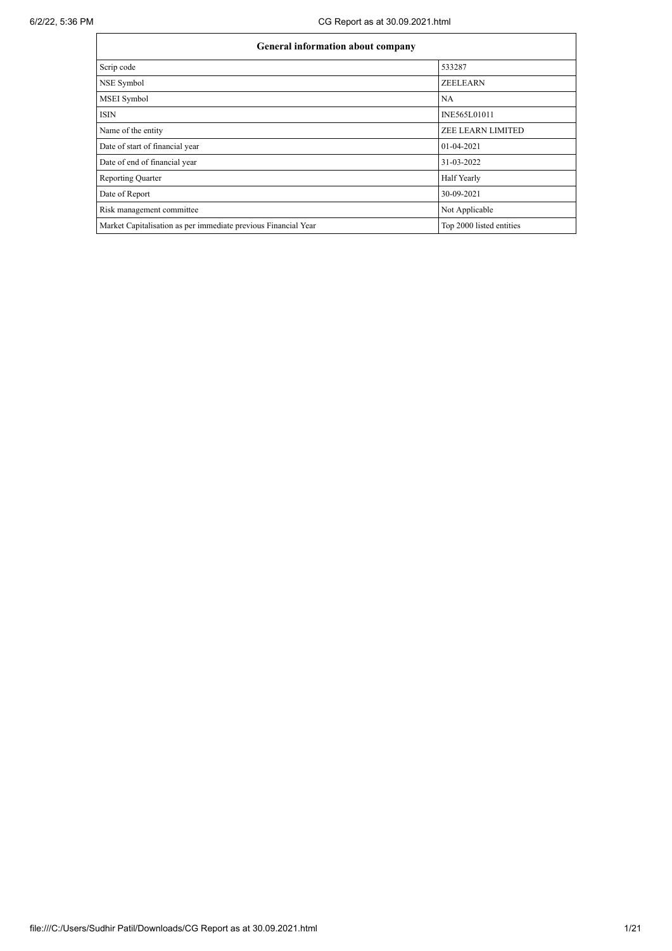| <b>General information about company</b>                       |                          |  |  |  |  |  |  |  |
|----------------------------------------------------------------|--------------------------|--|--|--|--|--|--|--|
| Scrip code                                                     | 533287                   |  |  |  |  |  |  |  |
| NSE Symbol                                                     | <b>ZEELEARN</b>          |  |  |  |  |  |  |  |
| <b>MSEI</b> Symbol                                             | <b>NA</b>                |  |  |  |  |  |  |  |
| <b>ISIN</b>                                                    | INE565L01011             |  |  |  |  |  |  |  |
| Name of the entity                                             | <b>ZEE LEARN LIMITED</b> |  |  |  |  |  |  |  |
| Date of start of financial year                                | $01 - 04 - 2021$         |  |  |  |  |  |  |  |
| Date of end of financial year                                  | 31-03-2022               |  |  |  |  |  |  |  |
| <b>Reporting Quarter</b>                                       | Half Yearly              |  |  |  |  |  |  |  |
| Date of Report                                                 | 30-09-2021               |  |  |  |  |  |  |  |
| Risk management committee                                      | Not Applicable           |  |  |  |  |  |  |  |
| Market Capitalisation as per immediate previous Financial Year | Top 2000 listed entities |  |  |  |  |  |  |  |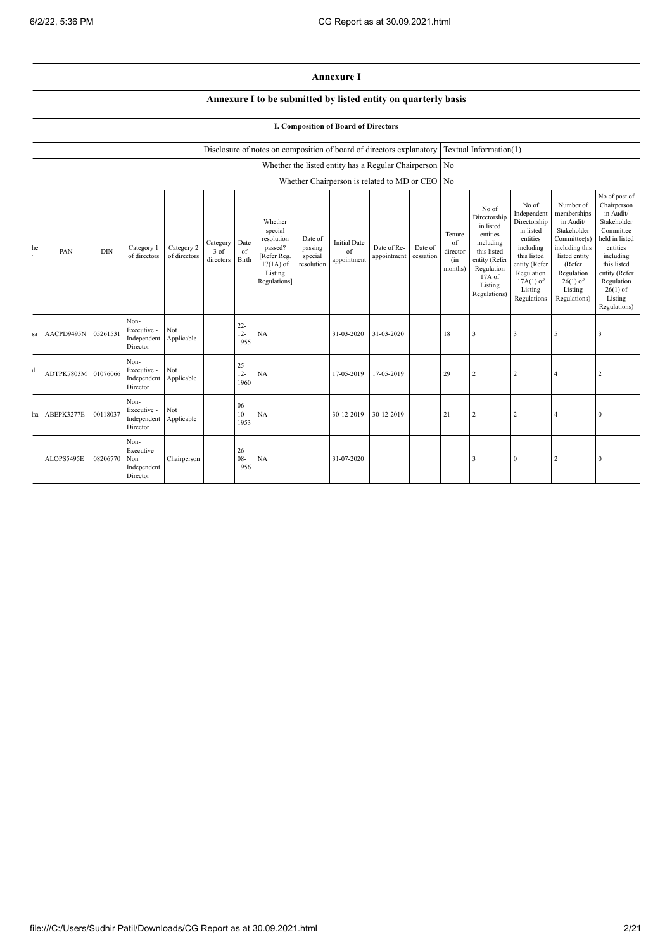## **Annexure I**

## **Annexure I to be submitted by listed entity on quarterly basis**

## **I. Composition of Board of Directors**

| Disclosure of notes on composition of board of directors explanatory Textual Information(1) |  |
|---------------------------------------------------------------------------------------------|--|
|                                                                                             |  |

|              | Whether the listed entity has a Regular Chairperson No |            |                                                       |                            |                               |                          |                                                                                                      |                                             |                                                |                            |                      |                                            |                                                                                                                                                |                                                                                                                                                                   |                                                                                                                                                                          |                                                                                                                                                                                                         |
|--------------|--------------------------------------------------------|------------|-------------------------------------------------------|----------------------------|-------------------------------|--------------------------|------------------------------------------------------------------------------------------------------|---------------------------------------------|------------------------------------------------|----------------------------|----------------------|--------------------------------------------|------------------------------------------------------------------------------------------------------------------------------------------------|-------------------------------------------------------------------------------------------------------------------------------------------------------------------|--------------------------------------------------------------------------------------------------------------------------------------------------------------------------|---------------------------------------------------------------------------------------------------------------------------------------------------------------------------------------------------------|
|              |                                                        |            |                                                       |                            |                               |                          |                                                                                                      |                                             | Whether Chairperson is related to MD or CEO No |                            |                      |                                            |                                                                                                                                                |                                                                                                                                                                   |                                                                                                                                                                          |                                                                                                                                                                                                         |
| he           | PAN                                                    | <b>DIN</b> | Category 1<br>of directors                            | Category 2<br>of directors | Category<br>3 of<br>directors | Date<br>of<br>Birth      | Whether<br>special<br>resolution<br>passed?<br>[Refer Reg.<br>$17(1A)$ of<br>Listing<br>Regulations] | Date of<br>passing<br>special<br>resolution | <b>Initial Date</b><br>of<br>appointment       | Date of Re-<br>appointment | Date of<br>cessation | Tenure<br>of<br>director<br>(in<br>months) | No of<br>Directorship<br>in listed<br>entities<br>including<br>this listed<br>entity (Refer<br>Regulation<br>17A of<br>Listing<br>Regulations) | No of<br>Independent<br>Directorship<br>in listed<br>entities<br>including<br>this listed<br>entity (Refer<br>Regulation<br>$17A(1)$ of<br>Listing<br>Regulations | Number of<br>memberships<br>in Audit/<br>Stakeholder<br>Committee(s)<br>including this<br>listed entity<br>(Refer<br>Regulation<br>$26(1)$ of<br>Listing<br>Regulations) | No of post of<br>Chairperson<br>in Audit/<br>Stakeholder<br>Committee<br>held in listed<br>entities<br>including<br>this listed<br>entity (Refer<br>Regulation<br>$26(1)$ of<br>Listing<br>Regulations) |
| sa           | AACPD9495N                                             | 05261531   | Non-<br>Executive -<br>Independent<br>Director        | Not<br>Applicable          |                               | $22 -$<br>$12 -$<br>1955 | NA                                                                                                   |                                             | 31-03-2020                                     | 31-03-2020                 |                      | 18                                         | 3                                                                                                                                              | $\mathbf{3}$                                                                                                                                                      | 5                                                                                                                                                                        | 3                                                                                                                                                                                                       |
| $\mathbf{d}$ | ADTPK7803M 01076066                                    |            | Non-<br>Executive -<br>Independent<br>Director        | Not<br>Applicable          |                               | $25 -$<br>$12 -$<br>1960 | NA                                                                                                   |                                             | 17-05-2019                                     | 17-05-2019                 |                      | 29                                         | $\overline{2}$                                                                                                                                 | $\overline{c}$                                                                                                                                                    | $\overline{4}$                                                                                                                                                           | $\overline{2}$                                                                                                                                                                                          |
| ra           | ABEPK3277E                                             | 00118037   | Non-<br>Executive -<br>Independent<br>Director        | Not<br>Applicable          |                               | $06 -$<br>$10-$<br>1953  | $_{\mathrm{NA}}$                                                                                     |                                             | 30-12-2019                                     | 30-12-2019                 |                      | 21                                         | $\overline{2}$                                                                                                                                 | $\overline{c}$                                                                                                                                                    | $\overline{4}$                                                                                                                                                           | $\bf{0}$                                                                                                                                                                                                |
|              | ALOPS5495E                                             | 08206770   | Non-<br>Executive -<br>Non<br>Independent<br>Director | Chairperson                |                               | $26 -$<br>$08 -$<br>1956 | NA                                                                                                   |                                             | 31-07-2020                                     |                            |                      |                                            | 3                                                                                                                                              | $\boldsymbol{0}$                                                                                                                                                  | 2                                                                                                                                                                        | $\bf{0}$                                                                                                                                                                                                |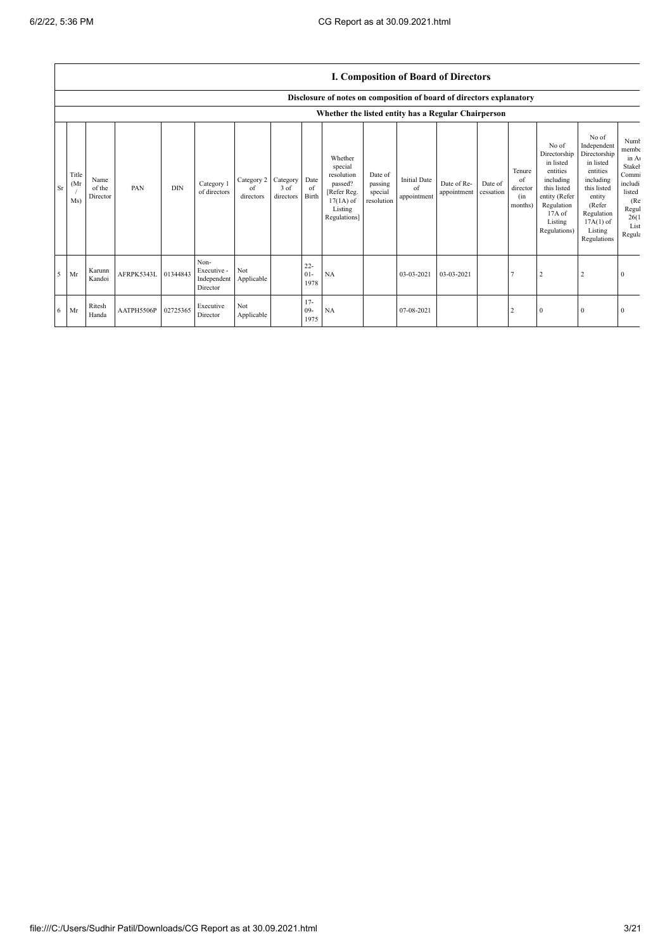|           |                      |                                                                      |            |            |                                                |                               |                                    |                          |                                                                                                      |                                             | <b>I. Composition of Board of Directors</b> |                            |                      |                                            |                                                                                                                                                |                                                                                                                                                                      |                                                                                                          |
|-----------|----------------------|----------------------------------------------------------------------|------------|------------|------------------------------------------------|-------------------------------|------------------------------------|--------------------------|------------------------------------------------------------------------------------------------------|---------------------------------------------|---------------------------------------------|----------------------------|----------------------|--------------------------------------------|------------------------------------------------------------------------------------------------------------------------------------------------|----------------------------------------------------------------------------------------------------------------------------------------------------------------------|----------------------------------------------------------------------------------------------------------|
|           |                      | Disclosure of notes on composition of board of directors explanatory |            |            |                                                |                               |                                    |                          |                                                                                                      |                                             |                                             |                            |                      |                                            |                                                                                                                                                |                                                                                                                                                                      |                                                                                                          |
|           |                      |                                                                      |            |            |                                                |                               |                                    |                          | Whether the listed entity has a Regular Chairperson                                                  |                                             |                                             |                            |                      |                                            |                                                                                                                                                |                                                                                                                                                                      |                                                                                                          |
| <b>Sr</b> | Title<br>(Mr)<br>Ms) | Name<br>of the<br>Director                                           | PAN        | <b>DIN</b> | Category 1<br>of directors                     | Category 2<br>of<br>directors | Category Date<br>3 of<br>directors | of<br>Birth              | Whether<br>special<br>resolution<br>passed?<br>[Refer Reg.<br>$17(1A)$ of<br>Listing<br>Regulations] | Date of<br>passing<br>special<br>resolution | <b>Initial Date</b><br>of<br>appointment    | Date of Re-<br>appointment | Date of<br>cessation | Tenure<br>of<br>director<br>(in<br>months) | No of<br>Directorship<br>in listed<br>entities<br>including<br>this listed<br>entity (Refer<br>Regulation<br>17A of<br>Listing<br>Regulations) | No of<br>Independent<br>Directorship<br>in listed<br>entities<br>including<br>this listed<br>entity<br>(Refer<br>Regulation<br>$17A(1)$ of<br>Listing<br>Regulations | Numb<br>membe<br>in A<br>Stakel<br>Commi<br>includi<br>listed<br>(Re<br>Regul<br>26(1)<br>List<br>Regula |
| .5        | Mr                   | Karunn<br>Kandoi                                                     | AFRPK5343L | 01344843   | Non-<br>Executive -<br>Independent<br>Director | Not<br>Applicable             |                                    | $22 -$<br>$01 -$<br>1978 | NA                                                                                                   |                                             | 03-03-2021                                  | 03-03-2021                 |                      |                                            |                                                                                                                                                |                                                                                                                                                                      |                                                                                                          |
| 6         | Mr                   | Ritesh<br>Handa                                                      | AATPH5506P | 02725365   | Executive<br>Director                          | Not<br>Applicable             |                                    | $17 -$<br>$09 -$<br>1975 | NA                                                                                                   |                                             | 07-08-2021                                  |                            |                      | 2                                          | $\Omega$                                                                                                                                       | $\Omega$                                                                                                                                                             |                                                                                                          |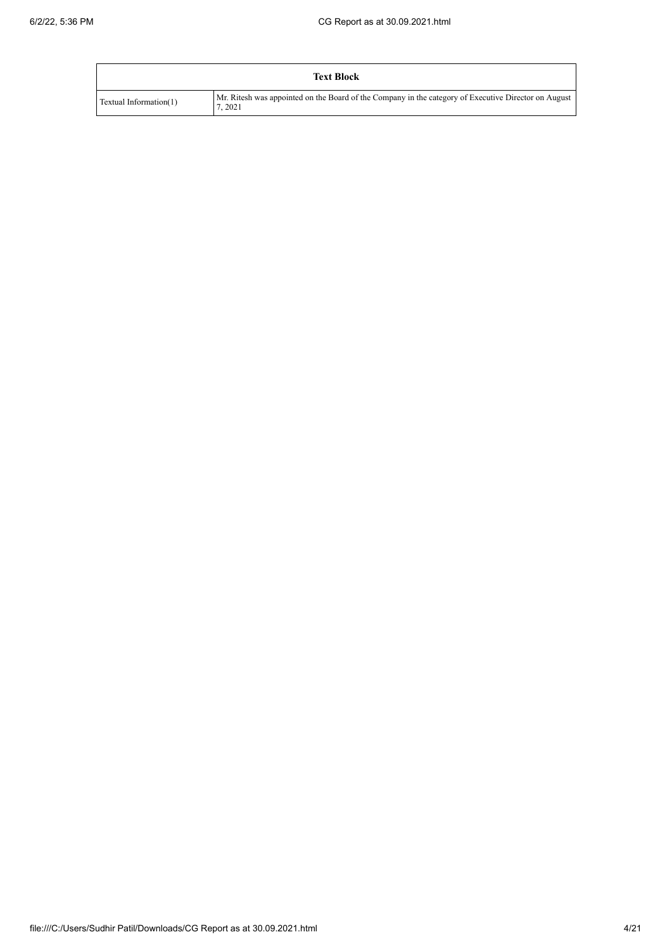|                        | <b>Text Block</b>                                                                                              |
|------------------------|----------------------------------------------------------------------------------------------------------------|
| Textual Information(1) | Mr. Ritesh was appointed on the Board of the Company in the category of Executive Director on August<br>7.2021 |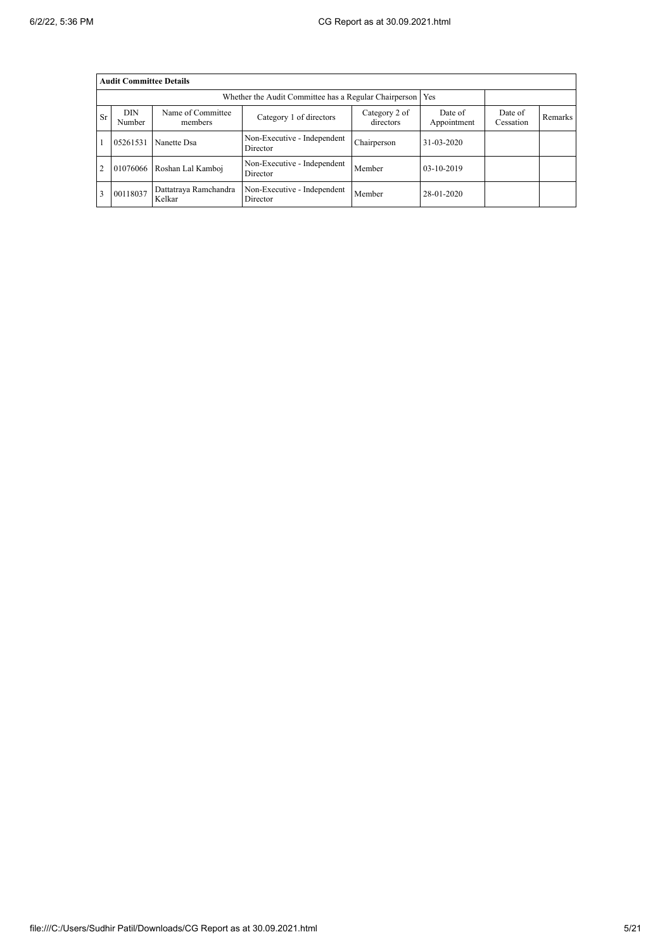|                | <b>Audit Committee Details</b>                                                                                                   |                                 |                                         |             |            |                      |         |  |  |  |  |
|----------------|----------------------------------------------------------------------------------------------------------------------------------|---------------------------------|-----------------------------------------|-------------|------------|----------------------|---------|--|--|--|--|
|                | Whether the Audit Committee has a Regular Chairperson<br>Yes                                                                     |                                 |                                         |             |            |                      |         |  |  |  |  |
| <b>Sr</b>      | DIN<br>Name of Committee<br>Category 2 of<br>Date of<br>Category 1 of directors<br>directors<br>Appointment<br>Number<br>members |                                 |                                         |             |            | Date of<br>Cessation | Remarks |  |  |  |  |
|                | 05261531                                                                                                                         | Nanette Dsa                     | Non-Executive - Independent<br>Director | Chairperson | 31-03-2020 |                      |         |  |  |  |  |
| $\overline{2}$ | 01076066                                                                                                                         | Roshan Lal Kamboj               | Non-Executive - Independent<br>Director | Member      | 03-10-2019 |                      |         |  |  |  |  |
| 3              | 00118037                                                                                                                         | Dattatraya Ramchandra<br>Kelkar | Non-Executive - Independent<br>Director | Member      | 28-01-2020 |                      |         |  |  |  |  |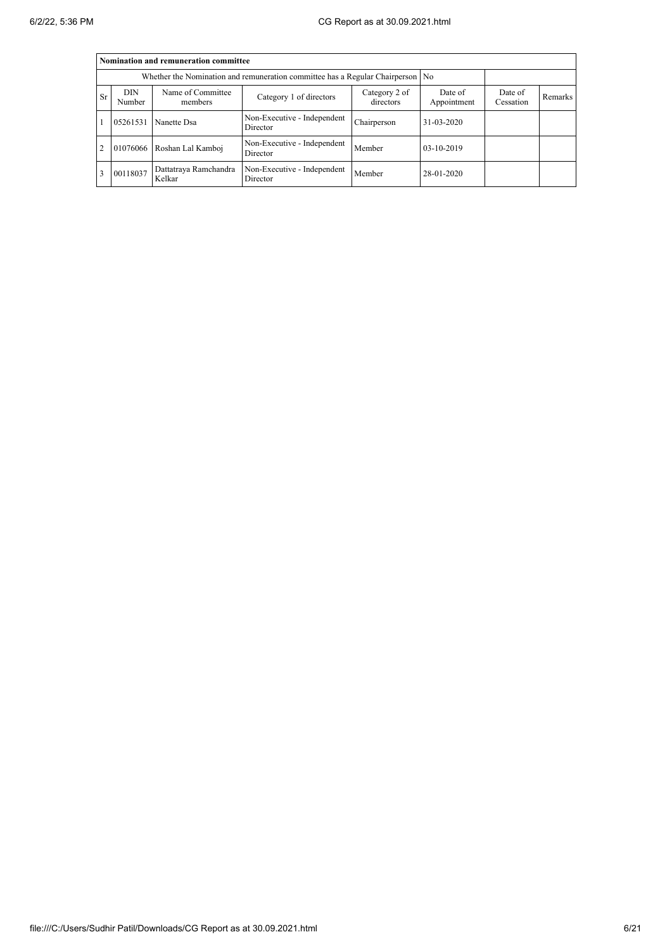|           | Nomination and remuneration committee                                            |                                 |                                         |                      |                  |  |  |  |  |  |  |
|-----------|----------------------------------------------------------------------------------|---------------------------------|-----------------------------------------|----------------------|------------------|--|--|--|--|--|--|
|           | Whether the Nomination and remuneration committee has a Regular Chairperson   No |                                 |                                         |                      |                  |  |  |  |  |  |  |
| <b>Sr</b> | DIN<br>Number                                                                    | Name of Committee<br>members    | Date of<br>Appointment                  | Date of<br>Cessation | Remarks          |  |  |  |  |  |  |
|           | 05261531                                                                         | Nanette Dsa                     | Non-Executive - Independent<br>Director | Chairperson          | $31 - 03 - 2020$ |  |  |  |  |  |  |
| 2         |                                                                                  | 01076066 Roshan Lal Kamboj      | Non-Executive - Independent<br>Director | Member               | 03-10-2019       |  |  |  |  |  |  |
| 3         | 00118037                                                                         | Dattatraya Ramchandra<br>Kelkar | Non-Executive - Independent<br>Director | Member               | 28-01-2020       |  |  |  |  |  |  |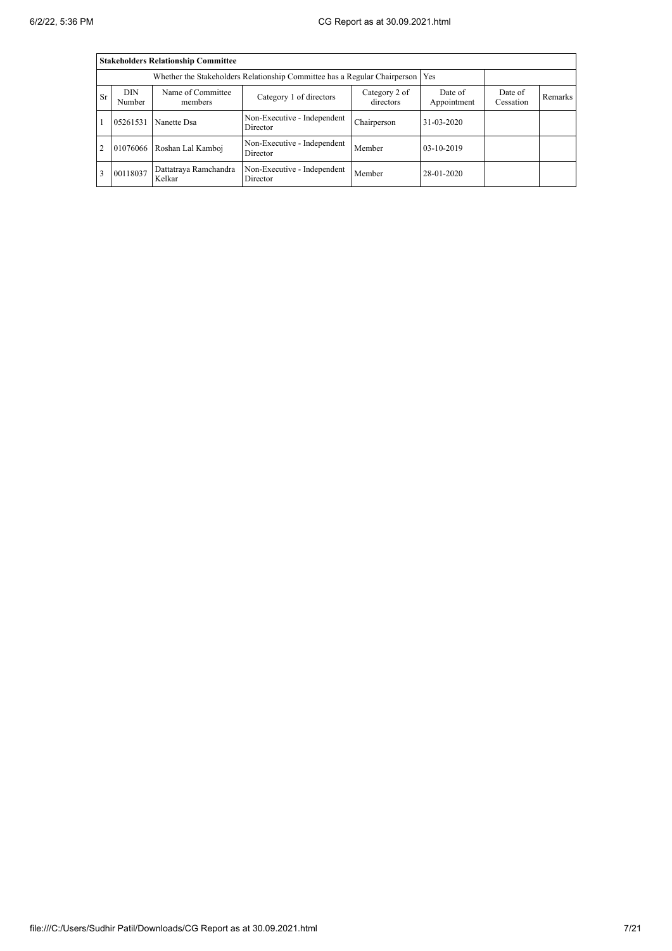|                | <b>Stakeholders Relationship Committee</b> |                                 |                                         |             |              |  |  |  |  |  |  |
|----------------|--------------------------------------------|---------------------------------|-----------------------------------------|-------------|--------------|--|--|--|--|--|--|
|                |                                            |                                 |                                         |             |              |  |  |  |  |  |  |
| <b>Sr</b>      | DIN<br>Number                              | Date of<br>Cessation            | Remarks                                 |             |              |  |  |  |  |  |  |
|                | 05261531                                   | Nanette Dsa                     | Non-Executive - Independent<br>Director | Chairperson | 31-03-2020   |  |  |  |  |  |  |
| $\overline{2}$ |                                            | 01076066 Roshan Lal Kamboj      | Non-Executive - Independent<br>Director | Member      | $03-10-2019$ |  |  |  |  |  |  |
| 3              | 00118037                                   | Dattatraya Ramchandra<br>Kelkar | Non-Executive - Independent<br>Director | Member      | 28-01-2020   |  |  |  |  |  |  |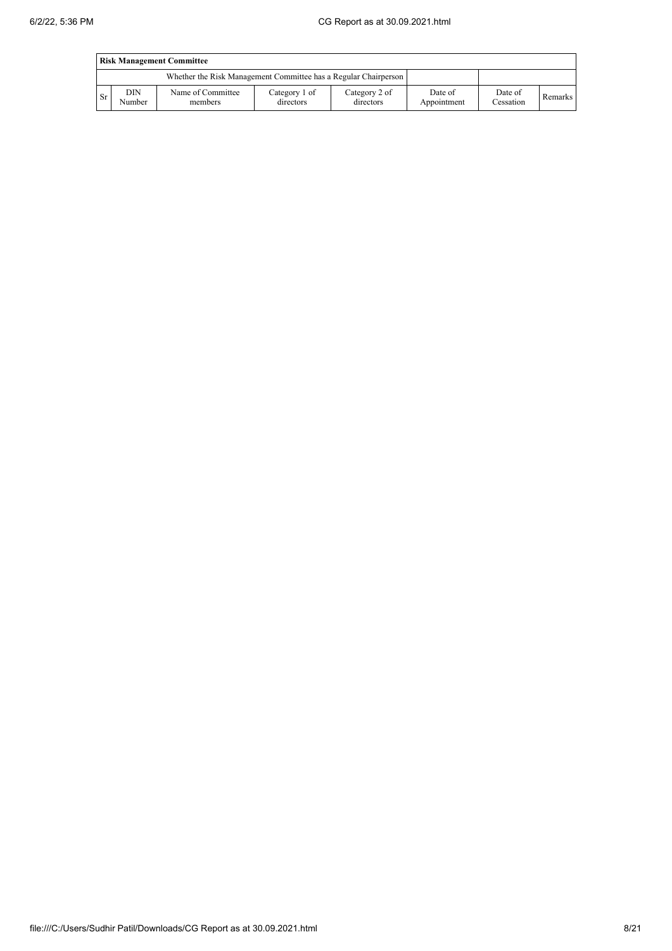|      | <b>Risk Management Committee</b>                                |                              |                            |                            |                        |                      |         |  |  |  |  |
|------|-----------------------------------------------------------------|------------------------------|----------------------------|----------------------------|------------------------|----------------------|---------|--|--|--|--|
|      | Whether the Risk Management Committee has a Regular Chairperson |                              |                            |                            |                        |                      |         |  |  |  |  |
| l Sr | <b>DIN</b><br>Number                                            | Name of Committee<br>members | Category 1 of<br>directors | Category 2 of<br>directors | Date of<br>Appointment | Date of<br>Cessation | Remarks |  |  |  |  |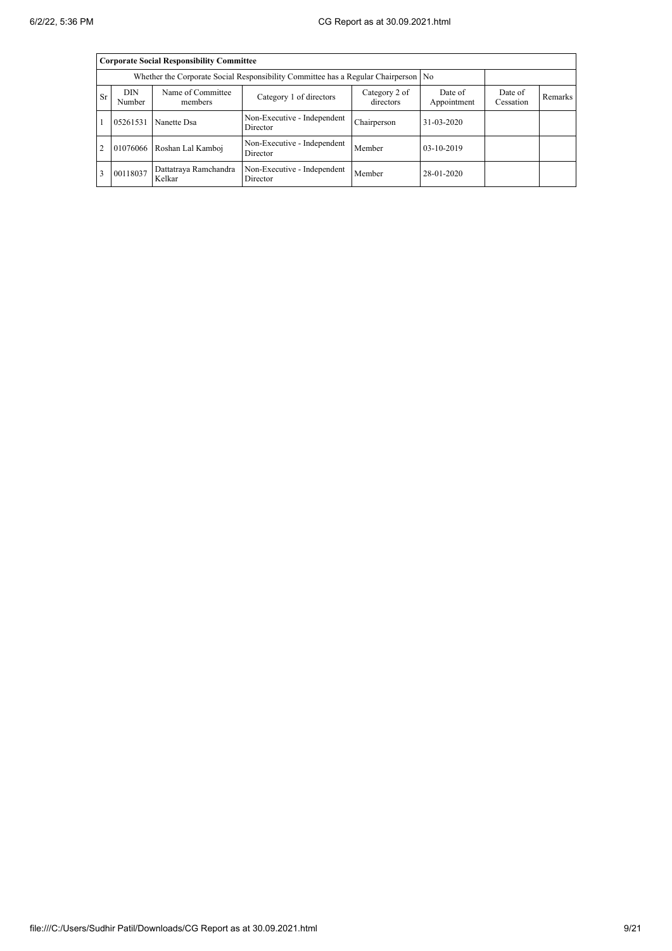|           | <b>Corporate Social Responsibility Committee</b>                                   |                                 |                                         |                      |                  |  |  |  |  |  |  |
|-----------|------------------------------------------------------------------------------------|---------------------------------|-----------------------------------------|----------------------|------------------|--|--|--|--|--|--|
|           | Whether the Corporate Social Responsibility Committee has a Regular Chairperson No |                                 |                                         |                      |                  |  |  |  |  |  |  |
| <b>Sr</b> | <b>DIN</b><br>Number                                                               | Name of Committee<br>members    | Date of<br>Appointment                  | Date of<br>Cessation | Remarks          |  |  |  |  |  |  |
|           | 05261531                                                                           | Nanette Dsa                     | Non-Executive - Independent<br>Director | Chairperson          | $31 - 03 - 2020$ |  |  |  |  |  |  |
| 2         |                                                                                    | 01076066 Roshan Lal Kamboj      | Non-Executive - Independent<br>Director | Member               | $03-10-2019$     |  |  |  |  |  |  |
| 3         | 00118037                                                                           | Dattatraya Ramchandra<br>Kelkar | Non-Executive - Independent<br>Director | Member               | 28-01-2020       |  |  |  |  |  |  |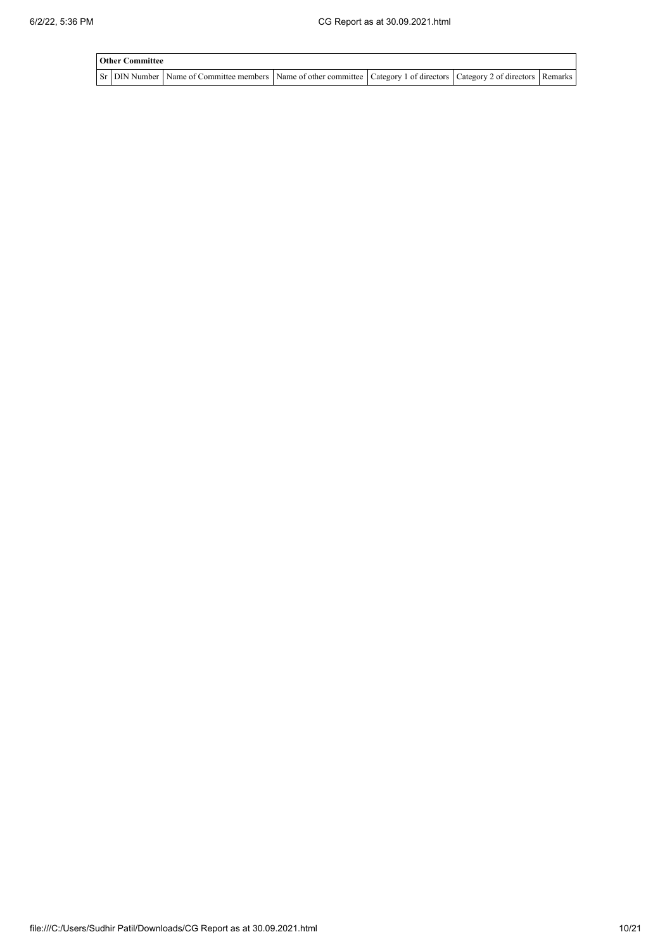| <b>Other Committee</b> |                                                                                                                                     |  |  |  |  |  |  |  |  |  |
|------------------------|-------------------------------------------------------------------------------------------------------------------------------------|--|--|--|--|--|--|--|--|--|
|                        | Sr   DIN Number   Name of Committee members   Name of other committee   Category 1 of directors   Category 2 of directors   Remarks |  |  |  |  |  |  |  |  |  |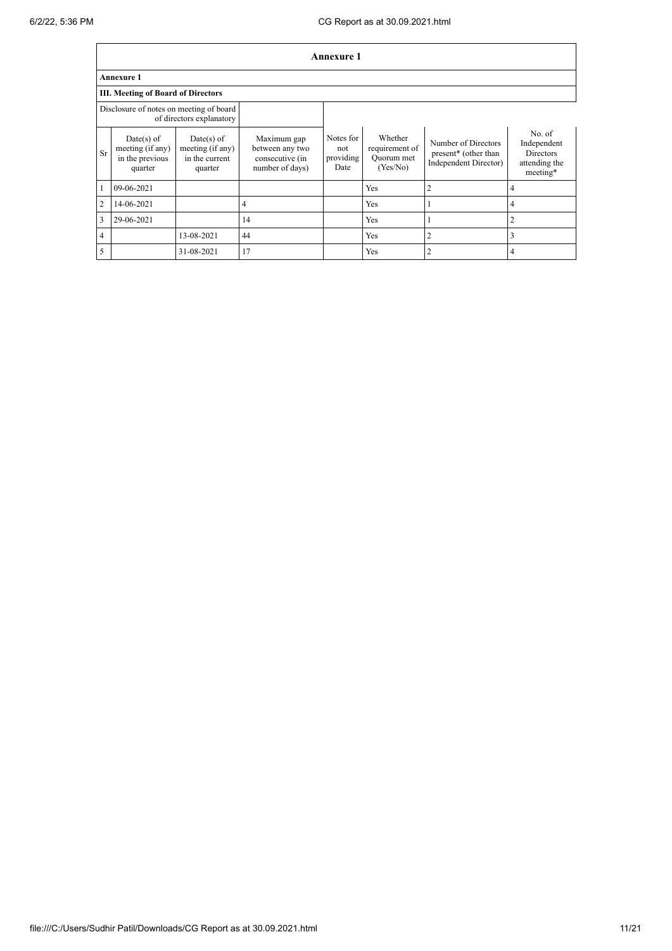|                | <b>Annexure 1</b>                                                   |                                                               |                                                                      |                                       |                                                     |                                                                      |                                                                        |  |  |  |  |
|----------------|---------------------------------------------------------------------|---------------------------------------------------------------|----------------------------------------------------------------------|---------------------------------------|-----------------------------------------------------|----------------------------------------------------------------------|------------------------------------------------------------------------|--|--|--|--|
|                | <b>Annexure 1</b>                                                   |                                                               |                                                                      |                                       |                                                     |                                                                      |                                                                        |  |  |  |  |
|                | <b>III. Meeting of Board of Directors</b>                           |                                                               |                                                                      |                                       |                                                     |                                                                      |                                                                        |  |  |  |  |
|                | Disclosure of notes on meeting of board<br>of directors explanatory |                                                               |                                                                      |                                       |                                                     |                                                                      |                                                                        |  |  |  |  |
| <b>Sr</b>      | $Date(s)$ of<br>meeting (if any)<br>in the previous<br>quarter      | $Date(s)$ of<br>meeting (if any)<br>in the current<br>quarter | Maximum gap<br>between any two<br>consecutive (in<br>number of days) | Notes for<br>not<br>providing<br>Date | Whether<br>requirement of<br>Quorum met<br>(Yes/No) | Number of Directors<br>present* (other than<br>Independent Director) | No. of<br>Independent<br><b>Directors</b><br>attending the<br>meeting* |  |  |  |  |
|                | 09-06-2021                                                          |                                                               |                                                                      |                                       | Yes                                                 | $\overline{2}$                                                       | 4                                                                      |  |  |  |  |
| $\overline{2}$ | 14-06-2021                                                          |                                                               | 4                                                                    |                                       | Yes                                                 | 1                                                                    | 4                                                                      |  |  |  |  |
| 3              | 29-06-2021                                                          |                                                               | 14                                                                   |                                       | Yes                                                 | 1                                                                    | 2                                                                      |  |  |  |  |
| $\overline{4}$ |                                                                     | 13-08-2021                                                    | 44                                                                   |                                       | Yes                                                 | $\overline{2}$                                                       | 3                                                                      |  |  |  |  |
| 5              |                                                                     | 31-08-2021                                                    | 17                                                                   |                                       | Yes                                                 | $\overline{2}$                                                       | 4                                                                      |  |  |  |  |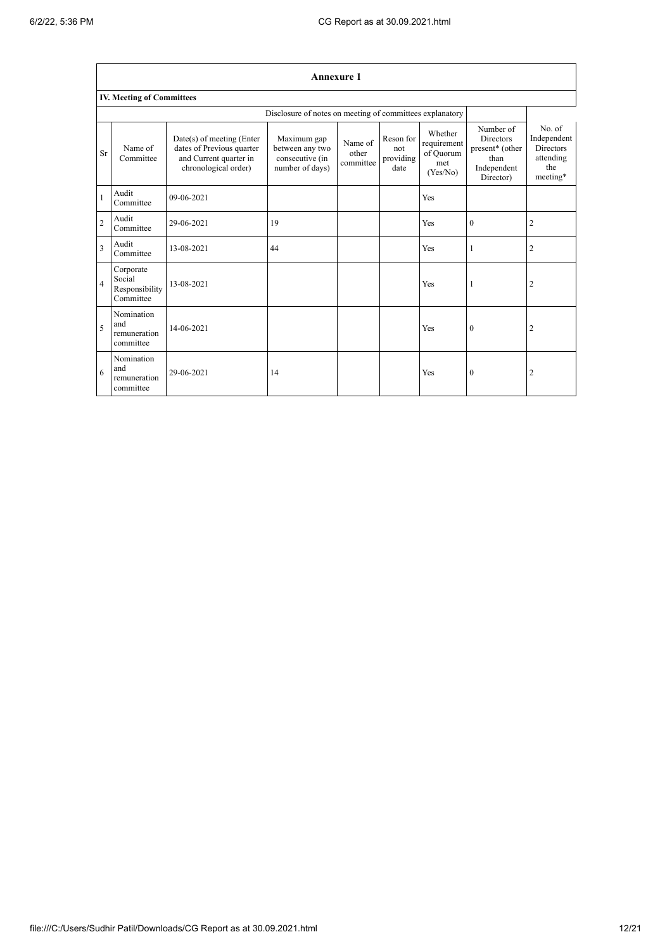٦

|                                  | <b>Annexure 1</b>                                  |                                                                                                            |                                                                      |                               |                                       |                                                        |                                                                                      |                                                                           |
|----------------------------------|----------------------------------------------------|------------------------------------------------------------------------------------------------------------|----------------------------------------------------------------------|-------------------------------|---------------------------------------|--------------------------------------------------------|--------------------------------------------------------------------------------------|---------------------------------------------------------------------------|
| <b>IV. Meeting of Committees</b> |                                                    |                                                                                                            |                                                                      |                               |                                       |                                                        |                                                                                      |                                                                           |
|                                  |                                                    |                                                                                                            | Disclosure of notes on meeting of committees explanatory             |                               |                                       |                                                        |                                                                                      |                                                                           |
| Sr <sup>-</sup>                  | Name of<br>Committee                               | $Date(s)$ of meeting (Enter<br>dates of Previous quarter<br>and Current quarter in<br>chronological order) | Maximum gap<br>between any two<br>consecutive (in<br>number of days) | Name of<br>other<br>committee | Reson for<br>not<br>providing<br>date | Whether<br>requirement<br>of Quorum<br>met<br>(Yes/No) | Number of<br><b>Directors</b><br>present* (other<br>than<br>Independent<br>Director) | No. of<br>Independent<br><b>Directors</b><br>attending<br>the<br>meeting* |
| $\mathbf{1}$                     | Audit<br>Committee                                 | 09-06-2021                                                                                                 |                                                                      |                               |                                       | Yes                                                    |                                                                                      |                                                                           |
| $\overline{2}$                   | Audit<br>Committee                                 | 29-06-2021                                                                                                 | 19                                                                   |                               |                                       | Yes                                                    | $\theta$                                                                             | $\overline{2}$                                                            |
| 3                                | Audit<br>Committee                                 | 13-08-2021                                                                                                 | 44                                                                   |                               |                                       | Yes                                                    | 1                                                                                    | $\boldsymbol{2}$                                                          |
| $\overline{4}$                   | Corporate<br>Social<br>Responsibility<br>Committee | 13-08-2021                                                                                                 |                                                                      |                               |                                       | Yes                                                    | 1                                                                                    | $\overline{2}$                                                            |
| $\overline{\phantom{0}}$         | Nomination<br>and<br>remuneration<br>committee     | 14-06-2021                                                                                                 |                                                                      |                               |                                       | Yes                                                    | $\overline{0}$                                                                       | $\overline{2}$                                                            |
| 6                                | Nomination<br>and<br>remuneration<br>committee     | 29-06-2021                                                                                                 | 14                                                                   |                               |                                       | Yes                                                    | $\mathbf{0}$                                                                         | $\overline{2}$                                                            |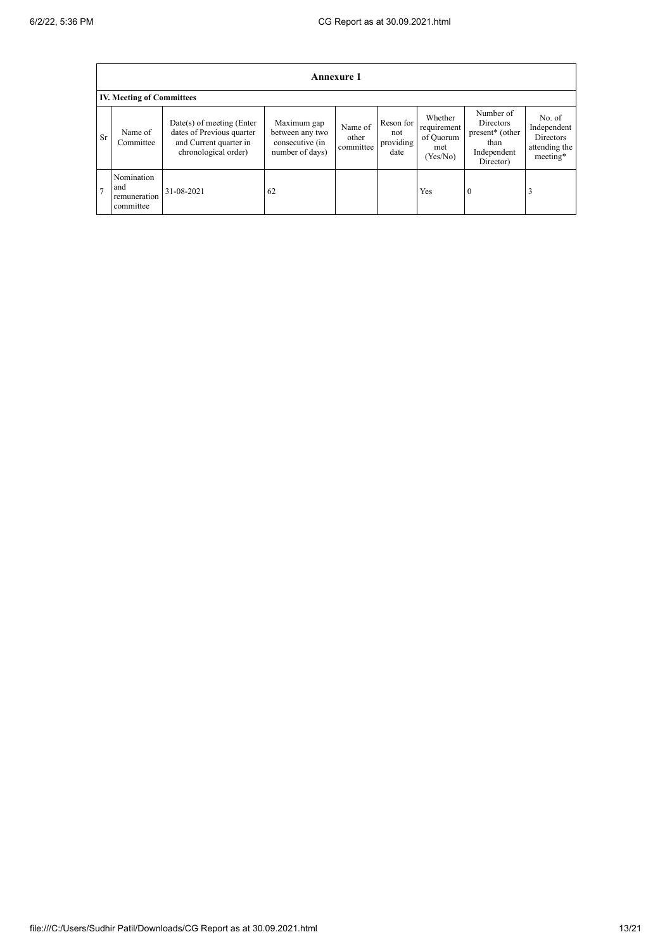|                | Annexure 1                                     |                                                                                                            |                                                                      |                               |                                       |                                                       |                                                                                                  |                                                                 |
|----------------|------------------------------------------------|------------------------------------------------------------------------------------------------------------|----------------------------------------------------------------------|-------------------------------|---------------------------------------|-------------------------------------------------------|--------------------------------------------------------------------------------------------------|-----------------------------------------------------------------|
|                | <b>IV. Meeting of Committees</b>               |                                                                                                            |                                                                      |                               |                                       |                                                       |                                                                                                  |                                                                 |
| <b>Sr</b>      | Name of<br>Committee                           | $Date(s)$ of meeting (Enter<br>dates of Previous quarter<br>and Current quarter in<br>chronological order) | Maximum gap<br>between any two<br>consecutive (in<br>number of days) | Name of<br>other<br>committee | Reson for<br>not<br>providing<br>date | Whether<br>requirement<br>of Quorum<br>met<br>Yes/No) | Number of<br><b>Directors</b><br>present <sup>*</sup> (other<br>than<br>Independent<br>Director) | No. of<br>Independent<br>Directors<br>attending the<br>meeting* |
| $\overline{ }$ | Nomination<br>and<br>remuneration<br>committee | 31-08-2021                                                                                                 | 62                                                                   |                               |                                       | Yes                                                   | $\overline{0}$                                                                                   |                                                                 |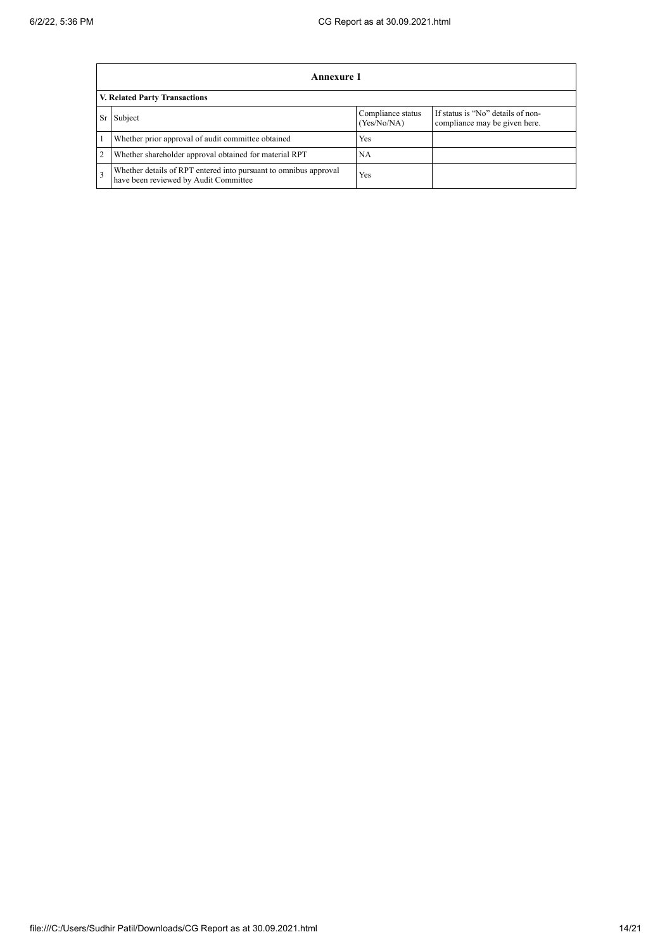|                | Annexure 1                                                                                                |                                  |                                                                    |
|----------------|-----------------------------------------------------------------------------------------------------------|----------------------------------|--------------------------------------------------------------------|
|                | <b>V. Related Party Transactions</b>                                                                      |                                  |                                                                    |
| Sr             | Subject                                                                                                   | Compliance status<br>(Yes/No/NA) | If status is "No" details of non-<br>compliance may be given here. |
|                | Whether prior approval of audit committee obtained                                                        | Yes                              |                                                                    |
| $\overline{2}$ | Whether shareholder approval obtained for material RPT                                                    | NA                               |                                                                    |
|                | Whether details of RPT entered into pursuant to omnibus approval<br>have been reviewed by Audit Committee | Yes                              |                                                                    |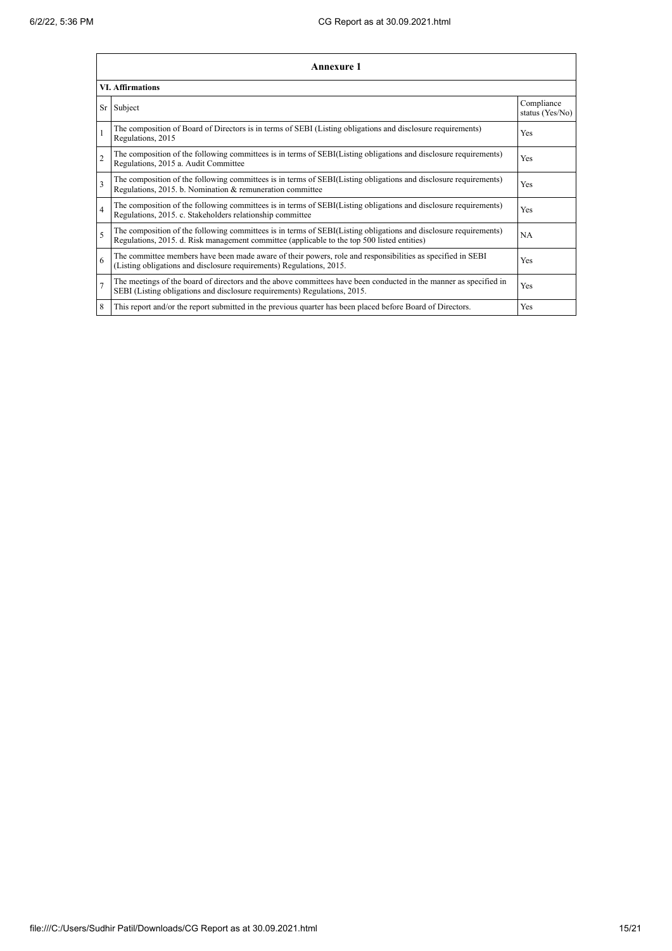|                | Annexure 1                                                                                                                                                                                                      |                               |
|----------------|-----------------------------------------------------------------------------------------------------------------------------------------------------------------------------------------------------------------|-------------------------------|
|                | <b>VI. Affirmations</b>                                                                                                                                                                                         |                               |
|                | Sr Subject                                                                                                                                                                                                      | Compliance<br>status (Yes/No) |
| 1              | The composition of Board of Directors is in terms of SEBI (Listing obligations and disclosure requirements)<br>Regulations, 2015                                                                                | Yes                           |
| $\overline{c}$ | The composition of the following committees is in terms of SEBI(Listing obligations and disclosure requirements)<br>Regulations, 2015 a. Audit Committee                                                        | Yes                           |
| 3              | The composition of the following committees is in terms of SEBI(Listing obligations and disclosure requirements)<br>Regulations, 2015. b. Nomination & remuneration committee                                   | Yes                           |
| $\overline{4}$ | The composition of the following committees is in terms of SEBI(Listing obligations and disclosure requirements)<br>Regulations, 2015. c. Stakeholders relationship committee                                   | Yes                           |
| 5              | The composition of the following committees is in terms of SEBI(Listing obligations and disclosure requirements)<br>Regulations, 2015. d. Risk management committee (applicable to the top 500 listed entities) | NA                            |
| 6              | The committee members have been made aware of their powers, role and responsibilities as specified in SEBI<br>(Listing obligations and disclosure requirements) Regulations, 2015.                              | Yes                           |
| $\overline{7}$ | The meetings of the board of directors and the above committees have been conducted in the manner as specified in<br>SEBI (Listing obligations and disclosure requirements) Regulations, 2015.                  | Yes                           |
| 8              | This report and/or the report submitted in the previous quarter has been placed before Board of Directors.                                                                                                      | Yes                           |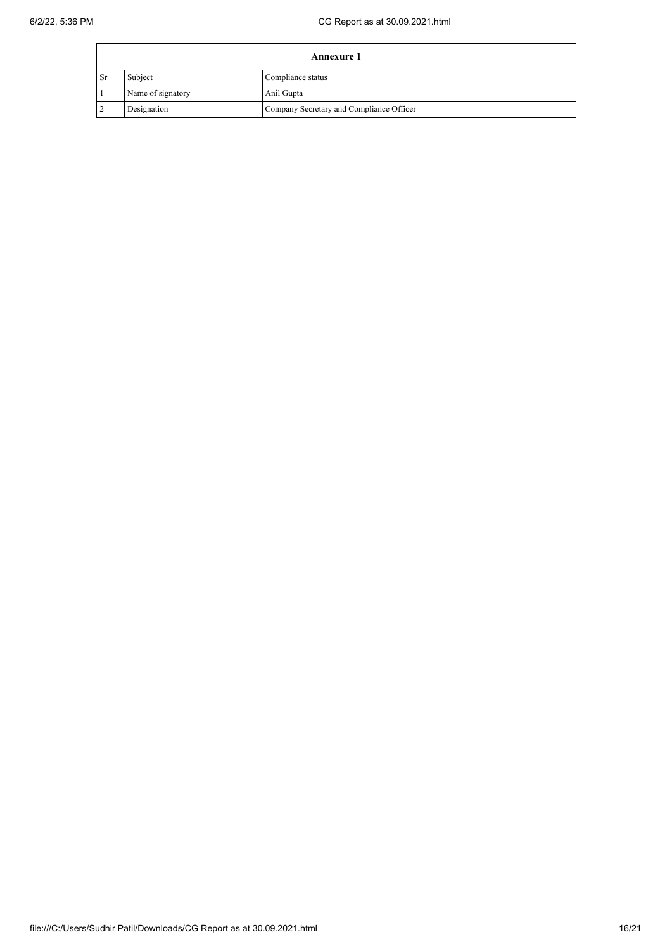|      | <b>Annexure 1</b>            |                                          |  |  |  |
|------|------------------------------|------------------------------------------|--|--|--|
| l Sr | Subject<br>Compliance status |                                          |  |  |  |
|      | Name of signatory            | Anil Gupta                               |  |  |  |
|      | Designation                  | Company Secretary and Compliance Officer |  |  |  |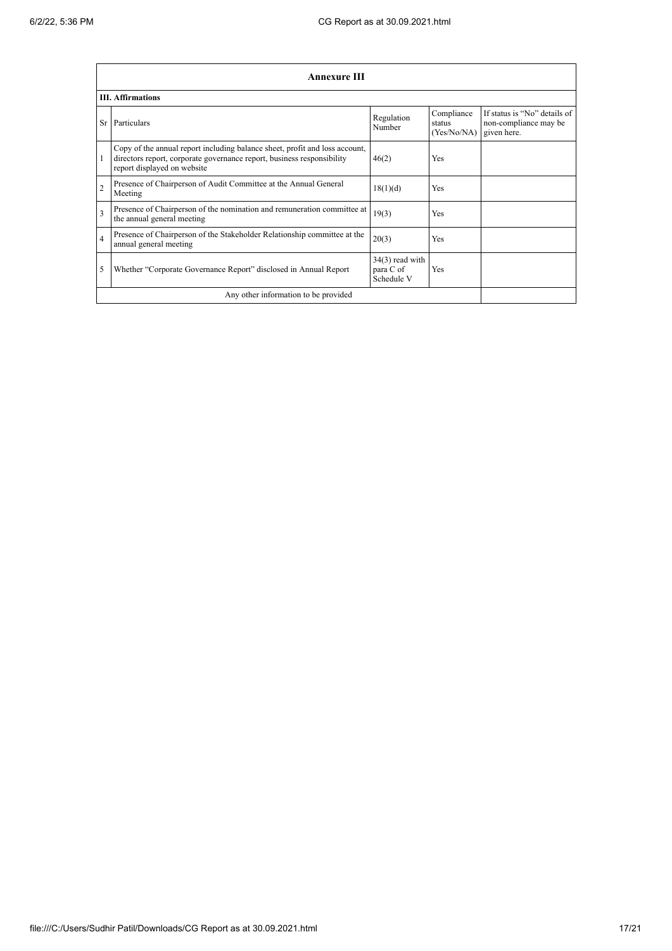|                | <b>Annexure III</b>                                                                                                                                                                  |                                              |                                     |                                                                      |  |
|----------------|--------------------------------------------------------------------------------------------------------------------------------------------------------------------------------------|----------------------------------------------|-------------------------------------|----------------------------------------------------------------------|--|
|                | <b>III.</b> Affirmations                                                                                                                                                             |                                              |                                     |                                                                      |  |
| Sr.            | Particulars                                                                                                                                                                          | Regulation<br>Number                         | Compliance<br>status<br>(Yes/No/NA) | If status is "No" details of<br>non-compliance may be<br>given here. |  |
| 1              | Copy of the annual report including balance sheet, profit and loss account,<br>directors report, corporate governance report, business responsibility<br>report displayed on website | 46(2)                                        | <b>Yes</b>                          |                                                                      |  |
| $\overline{2}$ | Presence of Chairperson of Audit Committee at the Annual General<br>Meeting                                                                                                          | 18(1)(d)                                     | Yes                                 |                                                                      |  |
| 3              | Presence of Chairperson of the nomination and remuneration committee at<br>the annual general meeting                                                                                | 19(3)                                        | Yes                                 |                                                                      |  |
| $\overline{4}$ | Presence of Chairperson of the Stakeholder Relationship committee at the<br>annual general meeting                                                                                   | 20(3)                                        | Yes                                 |                                                                      |  |
| 5              | Whether "Corporate Governance Report" disclosed in Annual Report                                                                                                                     | $34(3)$ read with<br>para C of<br>Schedule V | Yes                                 |                                                                      |  |
|                | Any other information to be provided                                                                                                                                                 |                                              |                                     |                                                                      |  |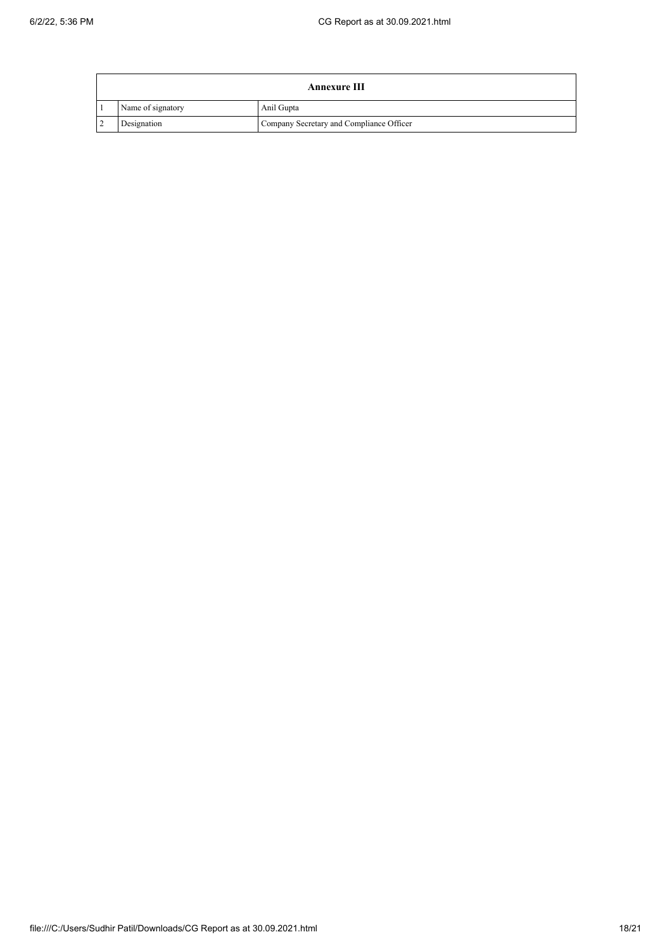| Annexure III      |                                          |  |  |  |
|-------------------|------------------------------------------|--|--|--|
| Name of signatory | Anil Gupta                               |  |  |  |
| Designation       | Company Secretary and Compliance Officer |  |  |  |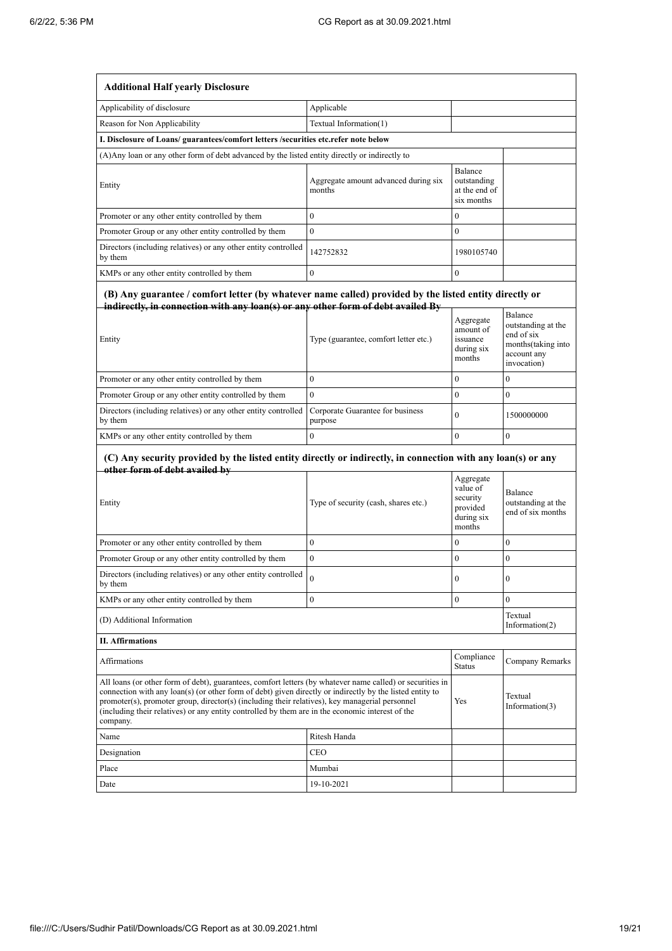| <b>Additional Half yearly Disclosure</b>                                                                                                                                                                                                                                                                                                                                                                                                |                                                |                                                            |                                                                                                 |
|-----------------------------------------------------------------------------------------------------------------------------------------------------------------------------------------------------------------------------------------------------------------------------------------------------------------------------------------------------------------------------------------------------------------------------------------|------------------------------------------------|------------------------------------------------------------|-------------------------------------------------------------------------------------------------|
| Applicability of disclosure                                                                                                                                                                                                                                                                                                                                                                                                             | Applicable                                     |                                                            |                                                                                                 |
| Reason for Non Applicability                                                                                                                                                                                                                                                                                                                                                                                                            | Textual Information(1)                         |                                                            |                                                                                                 |
| I. Disclosure of Loans/ guarantees/comfort letters /securities etc.refer note below                                                                                                                                                                                                                                                                                                                                                     |                                                |                                                            |                                                                                                 |
| (A) Any loan or any other form of debt advanced by the listed entity directly or indirectly to                                                                                                                                                                                                                                                                                                                                          |                                                |                                                            |                                                                                                 |
| Entity                                                                                                                                                                                                                                                                                                                                                                                                                                  | Aggregate amount advanced during six<br>months | Balance<br>outstanding<br>at the end of<br>six months      |                                                                                                 |
| Promoter or any other entity controlled by them                                                                                                                                                                                                                                                                                                                                                                                         | $\mathbf{0}$                                   | $\bf{0}$                                                   |                                                                                                 |
| Promoter Group or any other entity controlled by them                                                                                                                                                                                                                                                                                                                                                                                   | $\overline{0}$                                 | $\bf{0}$                                                   |                                                                                                 |
| Directors (including relatives) or any other entity controlled<br>by them                                                                                                                                                                                                                                                                                                                                                               | 142752832                                      | 1980105740                                                 |                                                                                                 |
| KMPs or any other entity controlled by them                                                                                                                                                                                                                                                                                                                                                                                             | $\mathbf{0}$                                   | $\mathbf{0}$                                               |                                                                                                 |
| (B) Any guarantee / comfort letter (by whatever name called) provided by the listed entity directly or<br>indirectly, in connection with any loan(s) or any other form of debt availed By<br>Entity                                                                                                                                                                                                                                     | Type (guarantee, comfort letter etc.)          | Aggregate<br>amount of<br>issuance<br>during six<br>months | Balance<br>outstanding at the<br>end of six<br>months(taking into<br>account any<br>invocation) |
| Promoter or any other entity controlled by them                                                                                                                                                                                                                                                                                                                                                                                         | $\boldsymbol{0}$                               | $\bf{0}$                                                   | 0                                                                                               |
| Promoter Group or any other entity controlled by them                                                                                                                                                                                                                                                                                                                                                                                   | $\overline{0}$                                 | $\mathbf{0}$                                               | $\overline{0}$                                                                                  |
| Directors (including relatives) or any other entity controlled<br>by them                                                                                                                                                                                                                                                                                                                                                               | Corporate Guarantee for business<br>purpose    | $\mathbf{0}$                                               | 1500000000                                                                                      |
| KMPs or any other entity controlled by them                                                                                                                                                                                                                                                                                                                                                                                             | $\boldsymbol{0}$                               | $\mathbf{0}$                                               | 0                                                                                               |
| (C) Any security provided by the listed entity directly or indirectly, in connection with any loan(s) or any<br>other form of debt availed by                                                                                                                                                                                                                                                                                           |                                                | Aggregate                                                  |                                                                                                 |
| Entity                                                                                                                                                                                                                                                                                                                                                                                                                                  | Type of security (cash, shares etc.)           | value of<br>security<br>provided<br>during six<br>months   | Balance<br>outstanding at the<br>end of six months                                              |
| Promoter or any other entity controlled by them                                                                                                                                                                                                                                                                                                                                                                                         | $\overline{0}$                                 | $\bf{0}$                                                   | $\overline{0}$                                                                                  |
| Promoter Group or any other entity controlled by them                                                                                                                                                                                                                                                                                                                                                                                   | $\overline{0}$                                 | $\boldsymbol{0}$                                           | 0                                                                                               |
| Directors (including relatives) or any other entity controlled<br>by them                                                                                                                                                                                                                                                                                                                                                               | 0                                              | U                                                          | v                                                                                               |
| KMPs or any other entity controlled by them                                                                                                                                                                                                                                                                                                                                                                                             | $\boldsymbol{0}$                               | $\overline{0}$                                             | $\overline{0}$                                                                                  |
| (D) Additional Information                                                                                                                                                                                                                                                                                                                                                                                                              |                                                |                                                            | Textual<br>Information(2)                                                                       |
| <b>II. Affirmations</b>                                                                                                                                                                                                                                                                                                                                                                                                                 |                                                |                                                            |                                                                                                 |
| Affirmations                                                                                                                                                                                                                                                                                                                                                                                                                            |                                                | Compliance<br><b>Status</b>                                | Company Remarks                                                                                 |
| All loans (or other form of debt), guarantees, comfort letters (by whatever name called) or securities in<br>connection with any loan(s) (or other form of debt) given directly or indirectly by the listed entity to<br>promoter(s), promoter group, director(s) (including their relatives), key managerial personnel<br>(including their relatives) or any entity controlled by them are in the economic interest of the<br>company. |                                                | Yes                                                        | Textual<br>Information(3)                                                                       |
| Name                                                                                                                                                                                                                                                                                                                                                                                                                                    | Ritesh Handa                                   |                                                            |                                                                                                 |
| Designation                                                                                                                                                                                                                                                                                                                                                                                                                             | <b>CEO</b>                                     |                                                            |                                                                                                 |
| Place                                                                                                                                                                                                                                                                                                                                                                                                                                   | Mumbai                                         |                                                            |                                                                                                 |
| Date                                                                                                                                                                                                                                                                                                                                                                                                                                    | 19-10-2021                                     |                                                            |                                                                                                 |